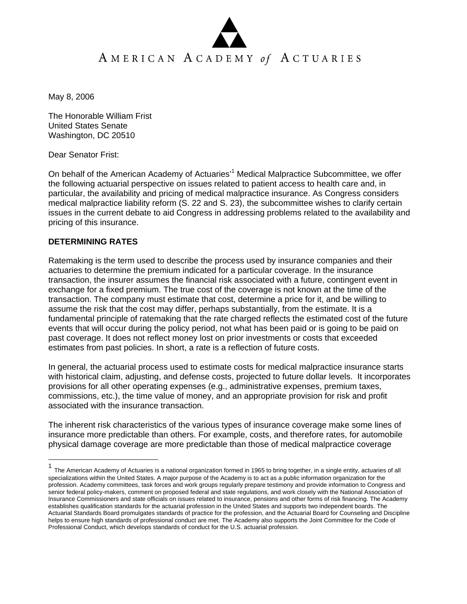May 8, 2006

The Honorable William Frist United States Senate Washington, DC 20510

Dear Senator Frist:

On behalf of the American Academy of Actuaries<sup>11</sup> Medical Malpractice Subcommittee, we offer the following actuarial perspective on issues related to patient access to health care and, in particular, the availability and pricing of medical malpractice insurance. As Congress considers medical malpractice liability reform (S. 22 and S. 23), the subcommittee wishes to clarify certain issues in the current debate to aid Congress in addressing problems related to the availability and pricing of this insurance.

## **DETERMINING RATES**

1

Ratemaking is the term used to describe the process used by insurance companies and their actuaries to determine the premium indicated for a particular coverage. In the insurance transaction, the insurer assumes the financial risk associated with a future, contingent event in exchange for a fixed premium. The true cost of the coverage is not known at the time of the transaction. The company must estimate that cost, determine a price for it, and be willing to assume the risk that the cost may differ, perhaps substantially, from the estimate. It is a fundamental principle of ratemaking that the rate charged reflects the estimated cost of the future events that will occur during the policy period, not what has been paid or is going to be paid on past coverage. It does not reflect money lost on prior investments or costs that exceeded estimates from past policies. In short, a rate is a reflection of future costs.

In general, the actuarial process used to estimate costs for medical malpractice insurance starts with historical claim, adjusting, and defense costs, projected to future dollar levels. It incorporates provisions for all other operating expenses (e.g., administrative expenses, premium taxes, commissions, etc.), the time value of money, and an appropriate provision for risk and profit associated with the insurance transaction.

The inherent risk characteristics of the various types of insurance coverage make some lines of insurance more predictable than others. For example, costs, and therefore rates, for automobile physical damage coverage are more predictable than those of medical malpractice coverage

<sup>&</sup>lt;sup>1</sup> The American Academy of Actuaries is a national organization formed in 1965 to bring together, in a single entity, actuaries of all specializations within the United States. A major purpose of the Academy is to act as a public information organization for the profession. Academy committees, task forces and work groups regularly prepare testimony and provide information to Congress and senior federal policy-makers, comment on proposed federal and state regulations, and work closely with the National Association of Insurance Commissioners and state officials on issues related to insurance, pensions and other forms of risk financing. The Academy establishes qualification standards for the actuarial profession in the United States and supports two independent boards. The Actuarial Standards Board promulgates standards of practice for the profession, and the Actuarial Board for Counseling and Discipline helps to ensure high standards of professional conduct are met. The Academy also supports the Joint Committee for the Code of Professional Conduct, which develops standards of conduct for the U.S. actuarial profession.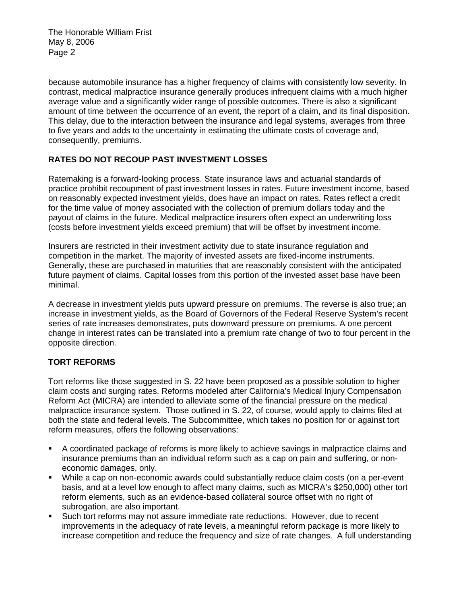The Honorable William Frist May 8, 2006 Page 2

because automobile insurance has a higher frequency of claims with consistently low severity. In contrast, medical malpractice insurance generally produces infrequent claims with a much higher average value and a significantly wider range of possible outcomes. There is also a significant amount of time between the occurrence of an event, the report of a claim, and its final disposition. This delay, due to the interaction between the insurance and legal systems, averages from three to five years and adds to the uncertainty in estimating the ultimate costs of coverage and, consequently, premiums.

## **RATES DO NOT RECOUP PAST INVESTMENT LOSSES**

Ratemaking is a forward-looking process. State insurance laws and actuarial standards of practice prohibit recoupment of past investment losses in rates. Future investment income, based on reasonably expected investment yields, does have an impact on rates. Rates reflect a credit for the time value of money associated with the collection of premium dollars today and the payout of claims in the future. Medical malpractice insurers often expect an underwriting loss (costs before investment yields exceed premium) that will be offset by investment income.

Insurers are restricted in their investment activity due to state insurance regulation and competition in the market. The majority of invested assets are fixed-income instruments. Generally, these are purchased in maturities that are reasonably consistent with the anticipated future payment of claims. Capital losses from this portion of the invested asset base have been minimal.

A decrease in investment yields puts upward pressure on premiums. The reverse is also true; an increase in investment yields, as the Board of Governors of the Federal Reserve System's recent series of rate increases demonstrates, puts downward pressure on premiums. A one percent change in interest rates can be translated into a premium rate change of two to four percent in the opposite direction.

## **TORT REFORMS**

Tort reforms like those suggested in S. 22 have been proposed as a possible solution to higher claim costs and surging rates. Reforms modeled after California's Medical Injury Compensation Reform Act (MICRA) are intended to alleviate some of the financial pressure on the medical malpractice insurance system. Those outlined in S. 22, of course, would apply to claims filed at both the state and federal levels. The Subcommittee, which takes no position for or against tort reform measures, offers the following observations:

- A coordinated package of reforms is more likely to achieve savings in malpractice claims and insurance premiums than an individual reform such as a cap on pain and suffering, or noneconomic damages, only.
- While a cap on non-economic awards could substantially reduce claim costs (on a per-event basis, and at a level low enough to affect many claims, such as MICRA's \$250,000) other tort reform elements, such as an evidence-based collateral source offset with no right of subrogation, are also important.
- Such tort reforms may not assure immediate rate reductions. However, due to recent improvements in the adequacy of rate levels, a meaningful reform package is more likely to increase competition and reduce the frequency and size of rate changes. A full understanding